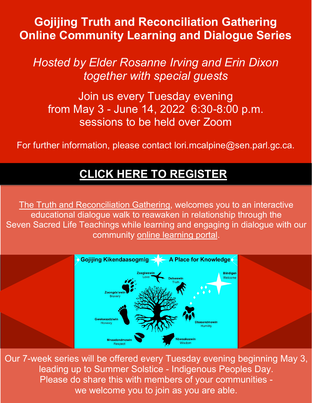## **Gojijing Truth and Reconciliation Gathering Online Community Learning and Dialogue Series**

*Hosted by Elder Rosanne Irving and Erin Dixon together with special guests*

Join us every Tuesday evening from May 3 - June 14, 2022 6:30-8:00 p.m. sessions to be held over Zoom

For further information, please contact lori.mcalpine@sen.parl.gc.ca.

## **CLICK HERE TO [REGISTER](https://us02web.zoom.us/meeting/register/tZcvcO-vqDIqHtfLZ0c1W_n-yXH1BXc4qTWy)**

The Truth and [Reconciliation](https://www.gojijingtruthandreconciliationgathering.earth/) Gathering, welcomes you to an interactive educational dialogue walk to reawaken in relationship through the Seven Sacred Life Teachings while learning and engaging in dialogue with our community online [learning](https://www.gojijingtruthandreconciliationgathering.earth/virtual-walk) portal.



Our 7-week series will be offered every Tuesday evening beginning May 3, leading up to Summer Solstice - Indigenous Peoples Day. Please do share this with members of your communities we welcome you to join as you are able.